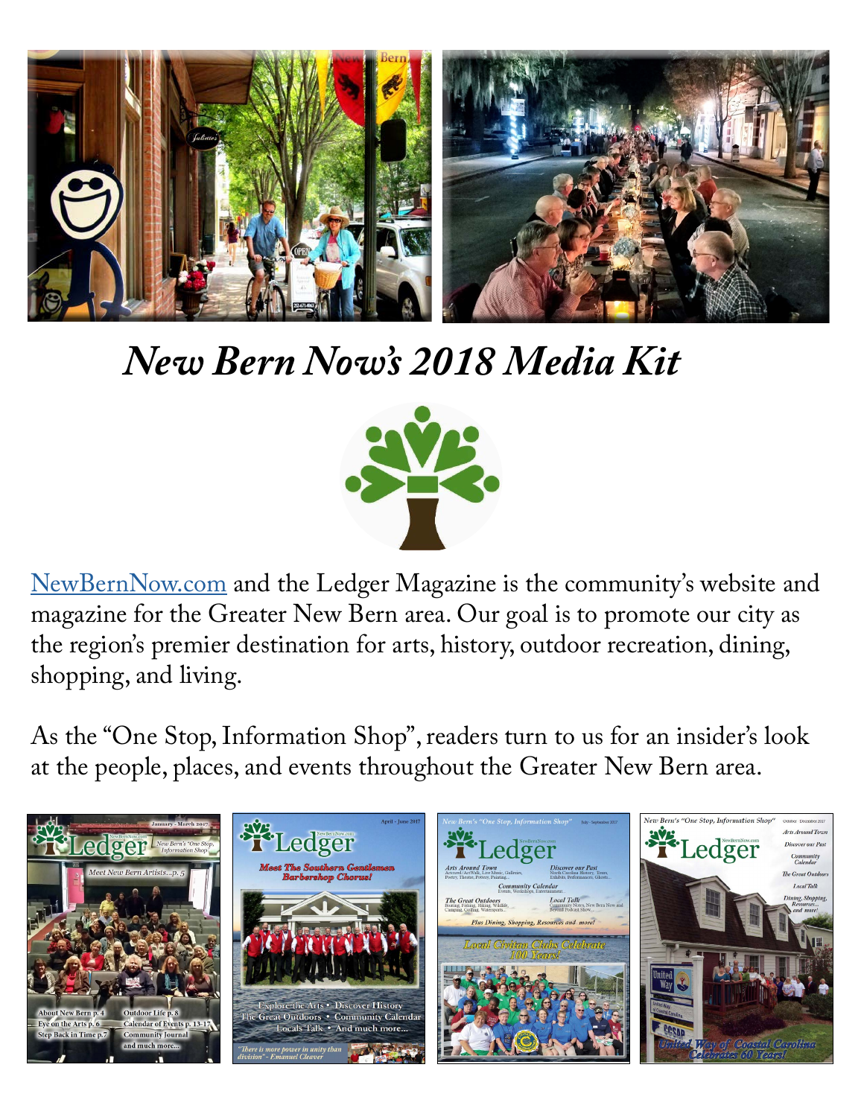

# *New Bern Now's 2018 Media Kit*



[NewBernNow.com](http://www.newbernnow.com/) and the Ledger Magazine is the community's website and magazine for the Greater New Bern area. Our goal is to promote our city as the region's premier destination for arts, history, outdoor recreation, dining, shopping, and living.

As the "One Stop, Information Shop", readers turn to us for an insider's look at the people, places, and events throughout the Greater New Bern area.

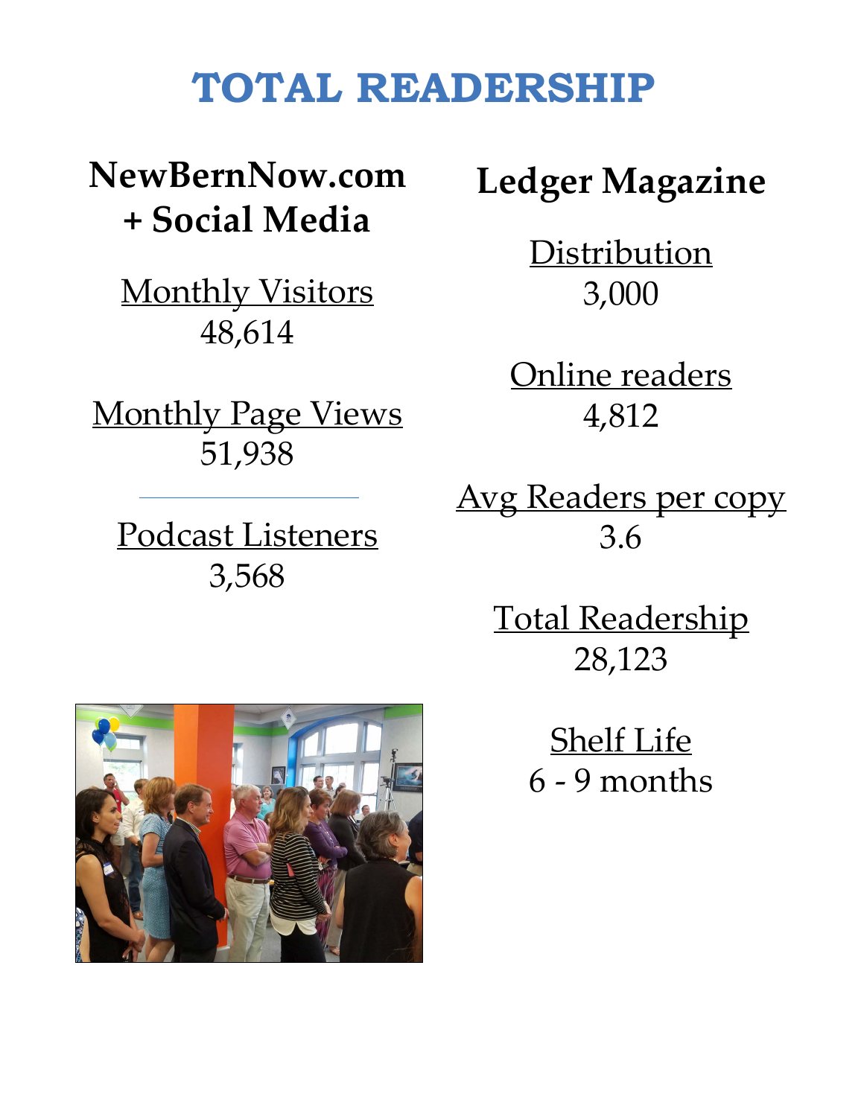### **TOTAL READERSHIP**

**NewBernNow.com + Social Media**

Monthly Visitors 48,614

**Monthly Page Views** 51,938

Podcast Listeners 3,568

**Ledger Magazine**

**Distribution** 3,000

Online readers 4,812

Avg Readers per copy 3.6

> Total Readership 28,123

> > Shelf Life 6 - 9 months

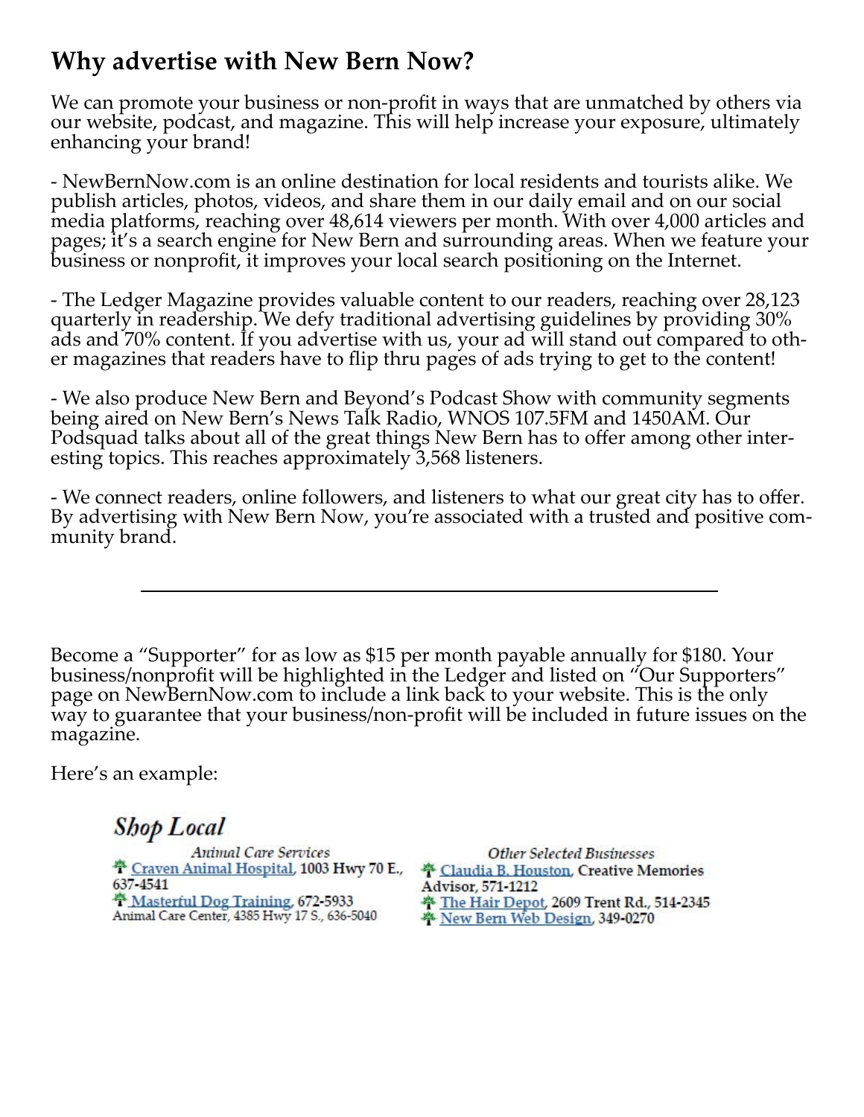### **Why advertise with New Bern Now?**

We can promote your business or non-profit in ways that are unmatched by others via our website, podcast, and magazine. This will help increase your exposure, ultimately enhancing your brand!

- NewBernNow.com is an online destination for local residents and tourists alike. We publish articles, photos, videos, and share them in our daily email and on our social media platforms, reaching over 48,614 viewers per month. With over 4,000 articles and pages; it's a search engine for New Bern and surrounding areas. When we feature your business or nonprofit, it improves your local search positioning on the Internet.

- The Ledger Magazine provides valuable content to our readers, reaching over 28,123 quarterly in readership. We defy traditional advertising guidelines by providing 30% ads and 70% content. If you advertise with us, your ad will stand out compared to oth- er magazines that readers have to flip thru pages of ads trying to get to the content!

- We also produce New Bern and Beyond's Podcast Show with community segments being aired on New Bern's News Talk Radio, WNOS 107.5FM and 1450AM. Our Podsquad talks about all of the great things New Bern has to offer among other inter- esting topics. This reaches approximately 3,568 listeners.

- We connect readers, online followers, and listeners to what our great city has to offer. By advertising with New Bern Now, you're associated with a trusted and positive com- munity brand.

Become a "Supporter" for as low as \$15 per month payable annually for \$180. Your business/nonprofit will be highlighted in the Ledger and listed on "Our Supporters" page on NewBernNow.com to include a link back to your website. This is the only way to guarantee that your business/non-profit will be included in future issues on the magazine.

Here's an example:

**Shop Local** 

**Animal Care Services** <sup>\*</sup> Craven Animal Hospital, 1003 Hwy 70 E., 637-4541 <sup>4</sup> Masterful Dog Training, 672-5933 Animal Care Center, 4385 Hwy 17 S., 636-5040

**Other Selected Businesses** <sup>44</sup> Claudia B. Houston, Creative Memories Advisor, 571-1212 <sup>44</sup> The Hair Depot, 2609 Trent Rd., 514-2345 New Bern Web Design, 349-0270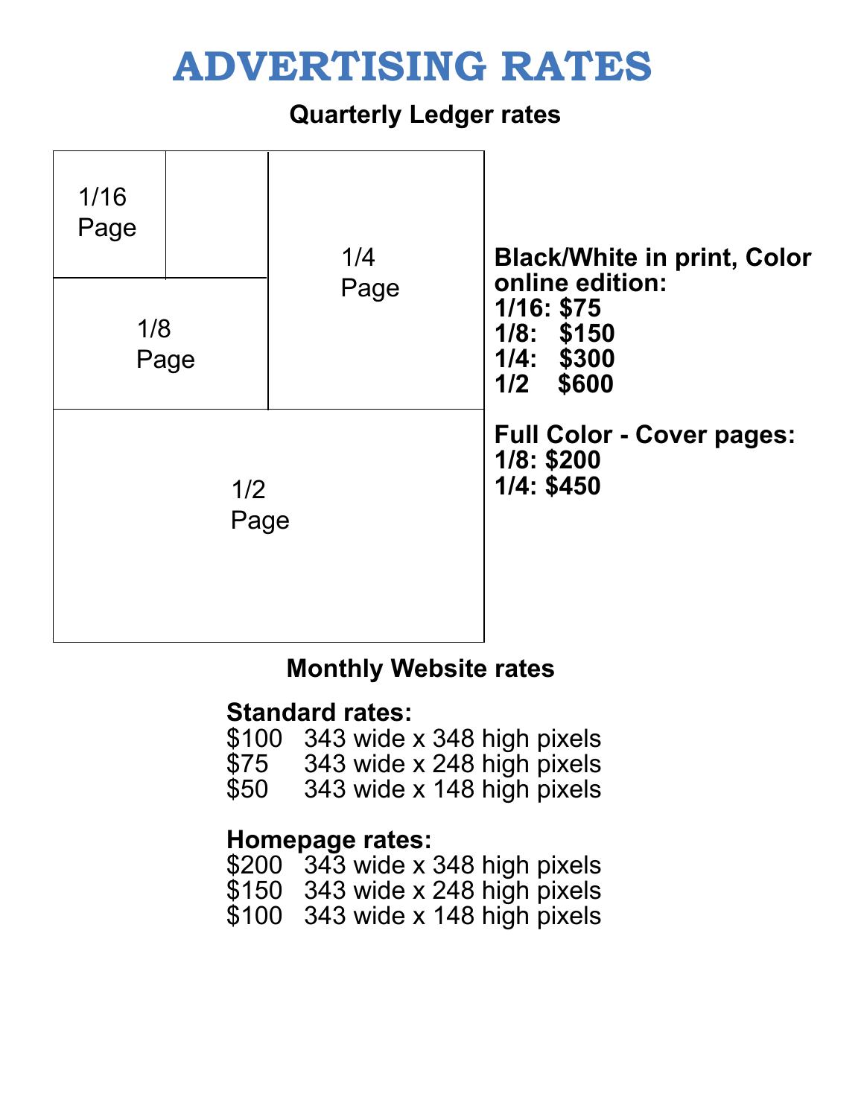## **ADVERTISING RATES**

#### **Quarterly Ledger rates**



#### **Monthly Website rates**

#### **Standard rates:**

- \$100 343 wide x 348 high pixels
- \$75 343 wide x 248 high pixels<br>\$50 343 wide x 148 high pixels
- 343 wide x 148 high pixels

#### **Homepage rates:**

- \$200 343 wide x 348 high pixels
- \$150 343 wide x 248 high pixels
- \$100 343 wide x 148 high pixels